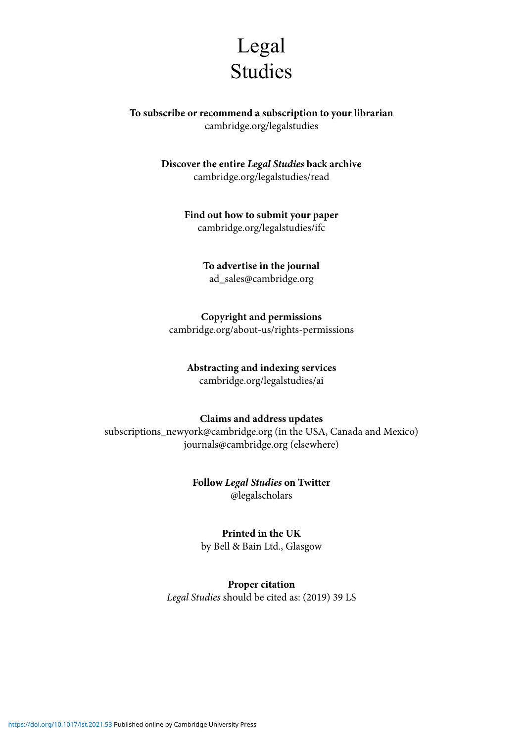

**To subscribe or recommend a subscription to your librarian** cambridge.org/legalstudies

> **Discover the entire** *Legal Studies* **back archive**  cambridge.org/legalstudies/read

> > **Find out how to submit your paper** cambridge.org/legalstudies/ifc

> > > **To advertise in the journal** ad\_sales@cambridge.org

**Copyright and permissions** cambridge.org/about-us/rights-permissions

**Abstracting and indexing services**

cambridge.org/legalstudies/ai

## **Claims and address updates**

subscriptions\_newyork@cambridge.org (in the USA, Canada and Mexico) journals@cambridge.org (elsewhere)

> **Follow** *Legal Studies* **on Twitter**  @legalscholars

> > **Printed in the UK**

by Bell & Bain Ltd., Glasgow

**Proper citation** *Legal Studies* should be cited as: (2019) 39 LS